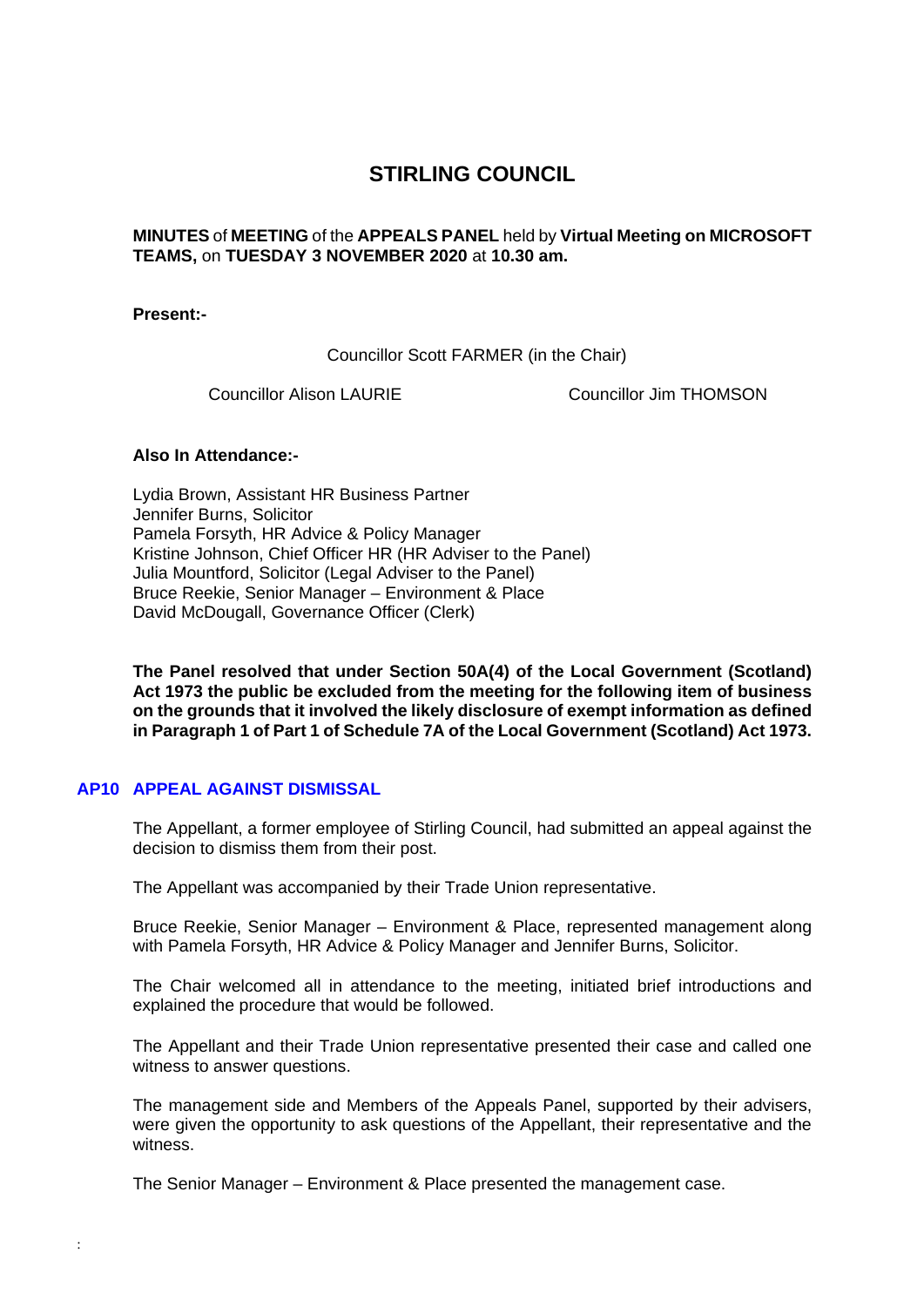# **STIRLING COUNCIL**

## **MINUTES** of **MEETING** of the **APPEALS PANEL** held by **Virtual Meeting on MICROSOFT TEAMS,** on **TUESDAY 3 NOVEMBER 2020** at **10.30 am.**

#### **Present:-**

Councillor Scott FARMER (in the Chair)

Councillor Alison LAURIE Councillor Jim THOMSON

### **Also In Attendance:-**

Lydia Brown, Assistant HR Business Partner Jennifer Burns, Solicitor Pamela Forsyth, HR Advice & Policy Manager Kristine Johnson, Chief Officer HR (HR Adviser to the Panel) Julia Mountford, Solicitor (Legal Adviser to the Panel) Bruce Reekie, Senior Manager – Environment & Place David McDougall, Governance Officer (Clerk)

**The Panel resolved that under Section 50A(4) of the Local Government (Scotland) Act 1973 the public be excluded from the meeting for the following item of business on the grounds that it involved the likely disclosure of exempt information as defined in Paragraph 1 of Part 1 of Schedule 7A of the Local Government (Scotland) Act 1973.** 

## **AP10 [APPEAL AGAINST DISMISSAL](/forms/request.htm)**

:

The Appellant, a former employee of Stirling Council, had submitted an appeal against the decision to dismiss them from their post.

The Appellant was accompanied by their Trade Union representative.

Bruce Reekie, Senior Manager – Environment & Place, represented management along with Pamela Forsyth, HR Advice & Policy Manager and Jennifer Burns, Solicitor.

The Chair welcomed all in attendance to the meeting, initiated brief introductions and explained the procedure that would be followed.

The Appellant and their Trade Union representative presented their case and called one witness to answer questions.

The management side and Members of the Appeals Panel, supported by their advisers, were given the opportunity to ask questions of the Appellant, their representative and the witness.

The Senior Manager – Environment & Place presented the management case.